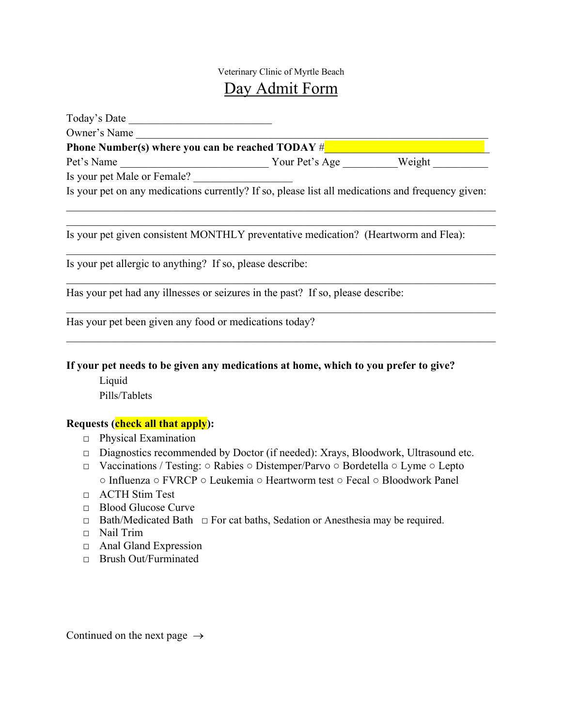## Veterinary Clinic of Myrtle Beach Day Admit Form

| Today's Date                                                                          |  |  |  |
|---------------------------------------------------------------------------------------|--|--|--|
| Owner's Name<br><b>Phone Number(s) where you can be reached TODAY <math>\#</math></b> |  |  |  |
|                                                                                       |  |  |  |
| Is your pet Male or Female?                                                           |  |  |  |

Is your pet on any medications currently? If so, please list all medications and frequency given:

Is your pet given consistent MONTHLY preventative medication? (Heartworm and Flea):

Is your pet allergic to anything? If so, please describe:

Has your pet had any illnesses or seizures in the past? If so, please describe:

Has your pet been given any food or medications today?

**If your pet needs to be given any medications at home, which to you prefer to give?**

 Liquid Pills/Tablets

## **Requests (check all that apply):**

- □ Physical Examination
- **□** Diagnostics recommended by Doctor (if needed): Xrays, Bloodwork, Ultrasound etc.
- □ Vaccinations / Testing: Rabies Distemper/Parvo Bordetella Lyme Lepto ○ Influenza ○ FVRCP ○ Leukemia ○ Heartworm test ○ Fecal ○ Bloodwork Panel
- □ ACTH Stim Test
- □ Blood Glucose Curve
- □ Bath/Medicated Bath □ For cat baths, Sedation or Anesthesia may be required.
- □ Nail Trim
- □ Anal Gland Expression
- □ Brush Out/Furminated

Continued on the next page  $\rightarrow$